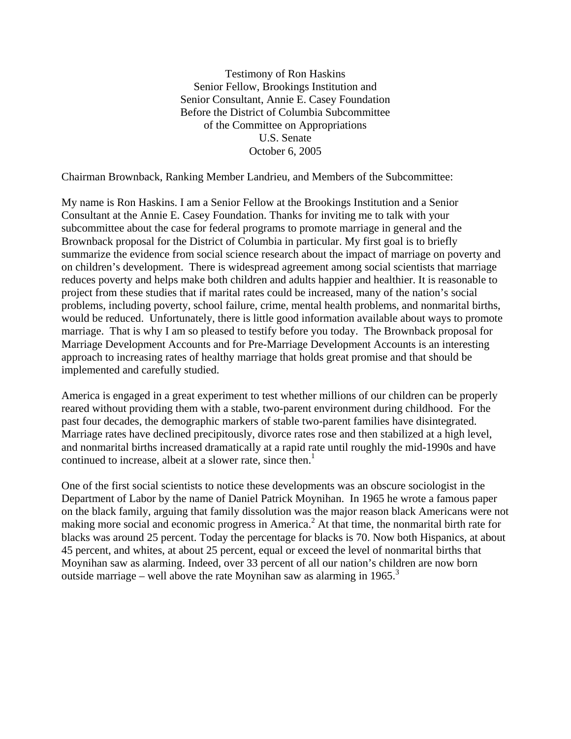Testimony of Ron Haskins Senior Fellow, Brookings Institution and Senior Consultant, Annie E. Casey Foundation Before the District of Columbia Subcommittee of the Committee on Appropriations U.S. Senate October 6, 2005

Chairman Brownback, Ranking Member Landrieu, and Members of the Subcommittee:

My name is Ron Haskins. I am a Senior Fellow at the Brookings Institution and a Senior Consultant at the Annie E. Casey Foundation. Thanks for inviting me to talk with your subcommittee about the case for federal programs to promote marriage in general and the Brownback proposal for the District of Columbia in particular. My first goal is to briefly summarize the evidence from social science research about the impact of marriage on poverty and on children's development. There is widespread agreement among social scientists that marriage reduces poverty and helps make both children and adults happier and healthier. It is reasonable to project from these studies that if marital rates could be increased, many of the nation's social problems, including poverty, school failure, crime, mental health problems, and nonmarital births, would be reduced. Unfortunately, there is little good information available about ways to promote marriage. That is why I am so pleased to testify before you today. The Brownback proposal for Marriage Development Accounts and for Pre-Marriage Development Accounts is an interesting approach to increasing rates of healthy marriage that holds great promise and that should be implemented and carefully studied.

America is engaged in a great experiment to test whether millions of our children can be properly reared without providing them with a stable, two-parent environment during childhood. For the past four decades, the demographic markers of stable two-parent families have disintegrated. Marriage rates have declined precipitously, divorce rates rose and then stabilized at a high level, and nonmarital births increased dramatically at a rapid rate until roughly the mid-1990s and have continued to increase, albeit at a slower rate, since then.<sup>1</sup>

One of the first social scientists to notice these developments was an obscure sociologist in the Department of Labor by the name of Daniel Patrick Moynihan. In 1965 he wrote a famous paper on the black family, arguing that family dissolution was the major reason black Americans were not making more social and economic progress in America.<sup>2</sup> At that time, the nonmarital birth rate for blacks was around 25 percent. Today the percentage for blacks is 70. Now both Hispanics, at about 45 percent, and whites, at about 25 percent, equal or exceed the level of nonmarital births that Moynihan saw as alarming. Indeed, over 33 percent of all our nation's children are now born outside marriage – well above the rate Moynihan saw as alarming in  $1965$ <sup>3</sup>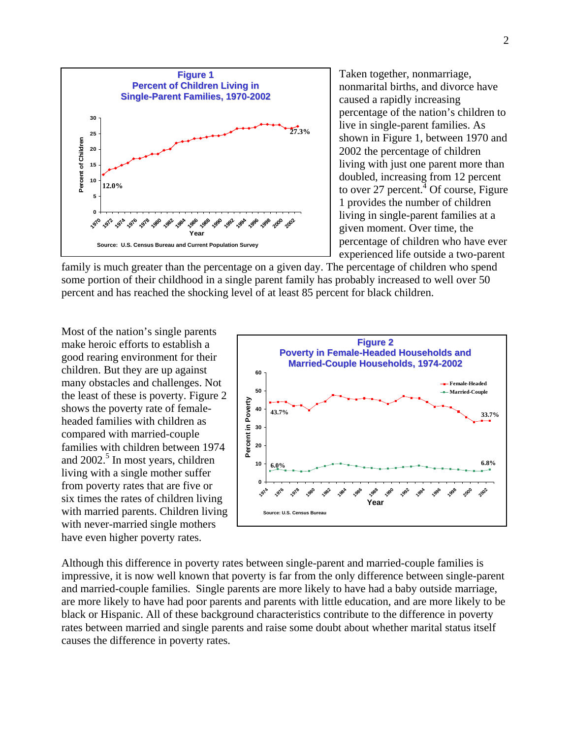

Taken together, nonmarriage, nonmarital births, and divorce have caused a rapidly increasing percentage of the nation's children to live in single-parent families. As shown in Figure 1, between 1970 and 2002 the percentage of children living with just one parent more than doubled, increasing from 12 percent to over 27 percent.  $\frac{4}{3}$  Of course, Figure 1 provides the number of children living in single-parent families at a given moment. Over time, the percentage of children who have ever experienced life outside a two-parent

family is much greater than the percentage on a given day. The percentage of children who spend some portion of their childhood in a single parent family has probably increased to well over 50 percent and has reached the shocking level of at least 85 percent for black children.

Most of the nation's single parents make heroic efforts to establish a good rearing environment for their children. But they are up against many obstacles and challenges. Not the least of these is poverty. Figure 2 shows the poverty rate of femaleheaded families with children as compared with married-couple families with children between 1974 and 2002.<sup>5</sup> In most years, children living with a single mother suffer from poverty rates that are five or six times the rates of children living with married parents. Children living with never-married single mothers have even higher poverty rates.



Although this difference in poverty rates between single-parent and married-couple families is impressive, it is now well known that poverty is far from the only difference between single-parent and married-couple families. Single parents are more likely to have had a baby outside marriage, are more likely to have had poor parents and parents with little education, and are more likely to be black or Hispanic. All of these background characteristics contribute to the difference in poverty rates between married and single parents and raise some doubt about whether marital status itself causes the difference in poverty rates.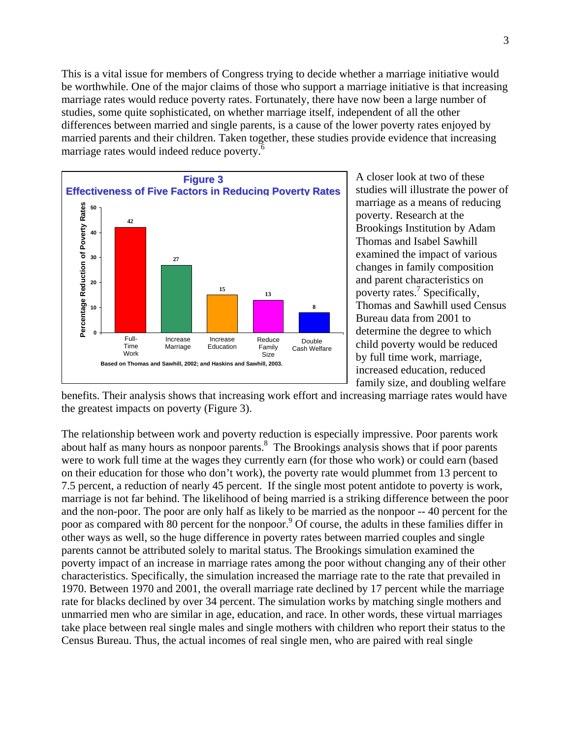This is a vital issue for members of Congress trying to decide whether a marriage initiative would be worthwhile. One of the major claims of those who support a marriage initiative is that increasing marriage rates would reduce poverty rates. Fortunately, there have now been a large number of studies, some quite sophisticated, on whether marriage itself, independent of all the other differences between married and single parents, is a cause of the lower poverty rates enjoyed by married parents and their children. Taken together, these studies provide evidence that increasing marriage rates would indeed reduce poverty.<sup>6</sup>



A closer look at two of these studies will illustrate the power of marriage as a means of reducing poverty. Research at the Brookings Institution by Adam Thomas and Isabel Sawhill examined the impact of various changes in family composition and parent characteristics on poverty rates.<sup>7</sup> Specifically, Thomas and Sawhill used Census Bureau data from 2001 to determine the degree to which child poverty would be reduced by full time work, marriage, increased education, reduced family size, and doubling welfare

benefits. Their analysis shows that increasing work effort and increasing marriage rates would have the greatest impacts on poverty (Figure 3).

The relationship between work and poverty reduction is especially impressive. Poor parents work about half as many hours as nonpoor parents.<sup>8</sup> The Brookings analysis shows that if poor parents were to work full time at the wages they currently earn (for those who work) or could earn (based on their education for those who don't work), the poverty rate would plummet from 13 percent to 7.5 percent, a reduction of nearly 45 percent. If the single most potent antidote to poverty is work, marriage is not far behind. The likelihood of being married is a striking difference between the poor and the non-poor. The poor are only half as likely to be married as the nonpoor -- 40 percent for the poor as compared with 80 percent for the nonpoor.<sup>9</sup> Of course, the adults in these families differ in other ways as well, so the huge difference in poverty rates between married couples and single parents cannot be attributed solely to marital status. The Brookings simulation examined the poverty impact of an increase in marriage rates among the poor without changing any of their other characteristics. Specifically, the simulation increased the marriage rate to the rate that prevailed in 1970. Between 1970 and 2001, the overall marriage rate declined by 17 percent while the marriage rate for blacks declined by over 34 percent. The simulation works by matching single mothers and unmarried men who are similar in age, education, and race. In other words, these virtual marriages take place between real single males and single mothers with children who report their status to the Census Bureau. Thus, the actual incomes of real single men, who are paired with real single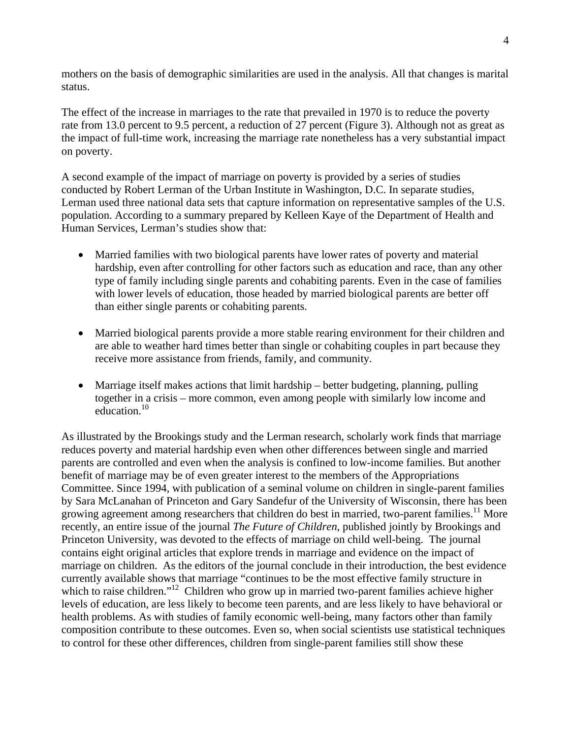mothers on the basis of demographic similarities are used in the analysis. All that changes is marital status.

The effect of the increase in marriages to the rate that prevailed in 1970 is to reduce the poverty rate from 13.0 percent to 9.5 percent, a reduction of 27 percent (Figure 3). Although not as great as the impact of full-time work, increasing the marriage rate nonetheless has a very substantial impact on poverty.

A second example of the impact of marriage on poverty is provided by a series of studies conducted by Robert Lerman of the Urban Institute in Washington, D.C. In separate studies, Lerman used three national data sets that capture information on representative samples of the U.S. population. According to a summary prepared by Kelleen Kaye of the Department of Health and Human Services, Lerman's studies show that:

- Married families with two biological parents have lower rates of poverty and material hardship, even after controlling for other factors such as education and race, than any other type of family including single parents and cohabiting parents. Even in the case of families with lower levels of education, those headed by married biological parents are better off than either single parents or cohabiting parents.
- Married biological parents provide a more stable rearing environment for their children and are able to weather hard times better than single or cohabiting couples in part because they receive more assistance from friends, family, and community.
- Marriage itself makes actions that limit hardship better budgeting, planning, pulling together in a crisis – more common, even among people with similarly low income and education.<sup>10</sup>

As illustrated by the Brookings study and the Lerman research, scholarly work finds that marriage reduces poverty and material hardship even when other differences between single and married parents are controlled and even when the analysis is confined to low-income families. But another benefit of marriage may be of even greater interest to the members of the Appropriations Committee. Since 1994, with publication of a seminal volume on children in single-parent families by Sara McLanahan of Princeton and Gary Sandefur of the University of Wisconsin, there has been growing agreement among researchers that children do best in married, two-parent families.<sup>11</sup> More recently, an entire issue of the journal *The Future of Children*, published jointly by Brookings and Princeton University, was devoted to the effects of marriage on child well-being. The journal contains eight original articles that explore trends in marriage and evidence on the impact of marriage on children. As the editors of the journal conclude in their introduction, the best evidence currently available shows that marriage "continues to be the most effective family structure in which to raise children."<sup>12</sup> Children who grow up in married two-parent families achieve higher levels of education, are less likely to become teen parents, and are less likely to have behavioral or health problems. As with studies of family economic well-being, many factors other than family composition contribute to these outcomes. Even so, when social scientists use statistical techniques to control for these other differences, children from single-parent families still show these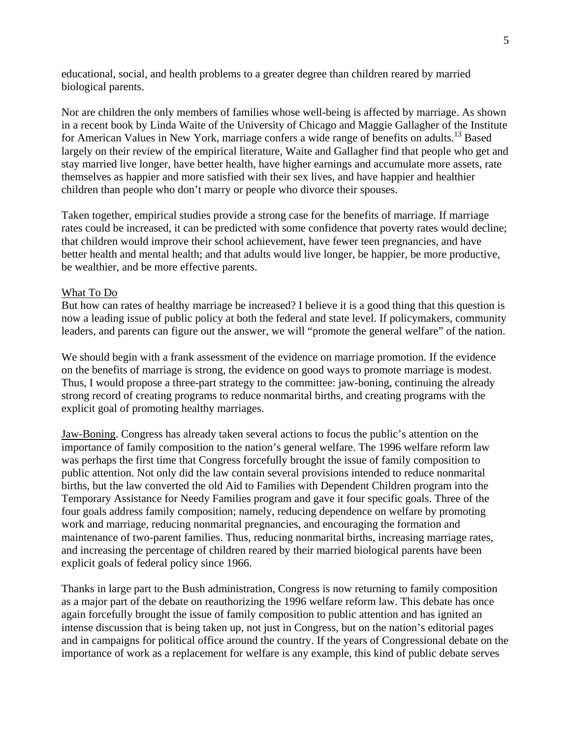educational, social, and health problems to a greater degree than children reared by married biological parents.

Nor are children the only members of families whose well-being is affected by marriage. As shown in a recent book by Linda Waite of the University of Chicago and Maggie Gallagher of the Institute for American Values in New York, marriage confers a wide range of benefits on adults.<sup>13</sup> Based largely on their review of the empirical literature, Waite and Gallagher find that people who get and stay married live longer, have better health, have higher earnings and accumulate more assets, rate themselves as happier and more satisfied with their sex lives, and have happier and healthier children than people who don't marry or people who divorce their spouses.

Taken together, empirical studies provide a strong case for the benefits of marriage. If marriage rates could be increased, it can be predicted with some confidence that poverty rates would decline; that children would improve their school achievement, have fewer teen pregnancies, and have better health and mental health; and that adults would live longer, be happier, be more productive, be wealthier, and be more effective parents.

## What To Do

But how can rates of healthy marriage be increased? I believe it is a good thing that this question is now a leading issue of public policy at both the federal and state level. If policymakers, community leaders, and parents can figure out the answer, we will "promote the general welfare" of the nation.

We should begin with a frank assessment of the evidence on marriage promotion. If the evidence on the benefits of marriage is strong, the evidence on good ways to promote marriage is modest. Thus, I would propose a three-part strategy to the committee: jaw-boning, continuing the already strong record of creating programs to reduce nonmarital births, and creating programs with the explicit goal of promoting healthy marriages.

Jaw-Boning. Congress has already taken several actions to focus the public's attention on the importance of family composition to the nation's general welfare. The 1996 welfare reform law was perhaps the first time that Congress forcefully brought the issue of family composition to public attention. Not only did the law contain several provisions intended to reduce nonmarital births, but the law converted the old Aid to Families with Dependent Children program into the Temporary Assistance for Needy Families program and gave it four specific goals. Three of the four goals address family composition; namely, reducing dependence on welfare by promoting work and marriage, reducing nonmarital pregnancies, and encouraging the formation and maintenance of two-parent families. Thus, reducing nonmarital births, increasing marriage rates, and increasing the percentage of children reared by their married biological parents have been explicit goals of federal policy since 1966.

Thanks in large part to the Bush administration, Congress is now returning to family composition as a major part of the debate on reauthorizing the 1996 welfare reform law. This debate has once again forcefully brought the issue of family composition to public attention and has ignited an intense discussion that is being taken up, not just in Congress, but on the nation's editorial pages and in campaigns for political office around the country. If the years of Congressional debate on the importance of work as a replacement for welfare is any example, this kind of public debate serves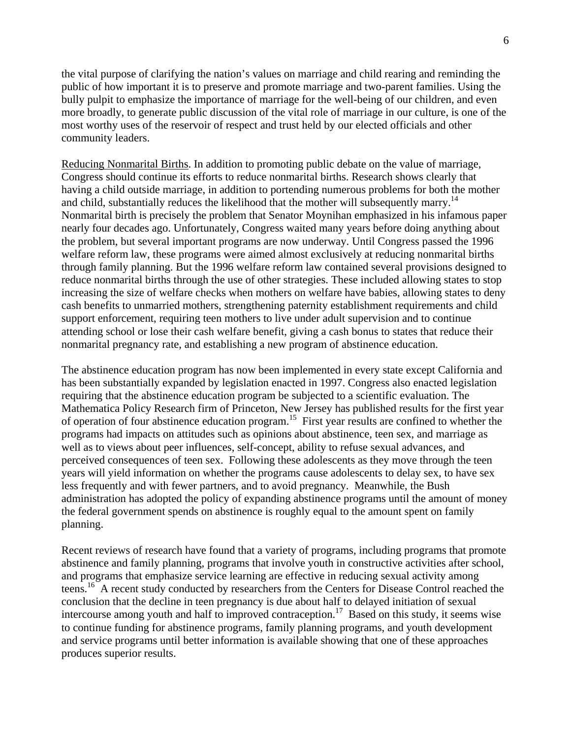the vital purpose of clarifying the nation's values on marriage and child rearing and reminding the public of how important it is to preserve and promote marriage and two-parent families. Using the bully pulpit to emphasize the importance of marriage for the well-being of our children, and even more broadly, to generate public discussion of the vital role of marriage in our culture, is one of the most worthy uses of the reservoir of respect and trust held by our elected officials and other community leaders.

Reducing Nonmarital Births. In addition to promoting public debate on the value of marriage, Congress should continue its efforts to reduce nonmarital births. Research shows clearly that having a child outside marriage, in addition to portending numerous problems for both the mother and child, substantially reduces the likelihood that the mother will subsequently marry.<sup>14</sup> Nonmarital birth is precisely the problem that Senator Moynihan emphasized in his infamous paper nearly four decades ago. Unfortunately, Congress waited many years before doing anything about the problem, but several important programs are now underway. Until Congress passed the 1996 welfare reform law, these programs were aimed almost exclusively at reducing nonmarital births through family planning. But the 1996 welfare reform law contained several provisions designed to reduce nonmarital births through the use of other strategies. These included allowing states to stop increasing the size of welfare checks when mothers on welfare have babies, allowing states to deny cash benefits to unmarried mothers, strengthening paternity establishment requirements and child support enforcement, requiring teen mothers to live under adult supervision and to continue attending school or lose their cash welfare benefit, giving a cash bonus to states that reduce their nonmarital pregnancy rate, and establishing a new program of abstinence education.

The abstinence education program has now been implemented in every state except California and has been substantially expanded by legislation enacted in 1997. Congress also enacted legislation requiring that the abstinence education program be subjected to a scientific evaluation. The Mathematica Policy Research firm of Princeton, New Jersey has published results for the first year of operation of four abstinence education program.15 First year results are confined to whether the programs had impacts on attitudes such as opinions about abstinence, teen sex, and marriage as well as to views about peer influences, self-concept, ability to refuse sexual advances, and perceived consequences of teen sex. Following these adolescents as they move through the teen years will yield information on whether the programs cause adolescents to delay sex, to have sex less frequently and with fewer partners, and to avoid pregnancy. Meanwhile, the Bush administration has adopted the policy of expanding abstinence programs until the amount of money the federal government spends on abstinence is roughly equal to the amount spent on family planning.

Recent reviews of research have found that a variety of programs, including programs that promote abstinence and family planning, programs that involve youth in constructive activities after school, and programs that emphasize service learning are effective in reducing sexual activity among teens.16 A recent study conducted by researchers from the Centers for Disease Control reached the conclusion that the decline in teen pregnancy is due about half to delayed initiation of sexual intercourse among youth and half to improved contraception.<sup>17</sup> Based on this study, it seems wise to continue funding for abstinence programs, family planning programs, and youth development and service programs until better information is available showing that one of these approaches produces superior results.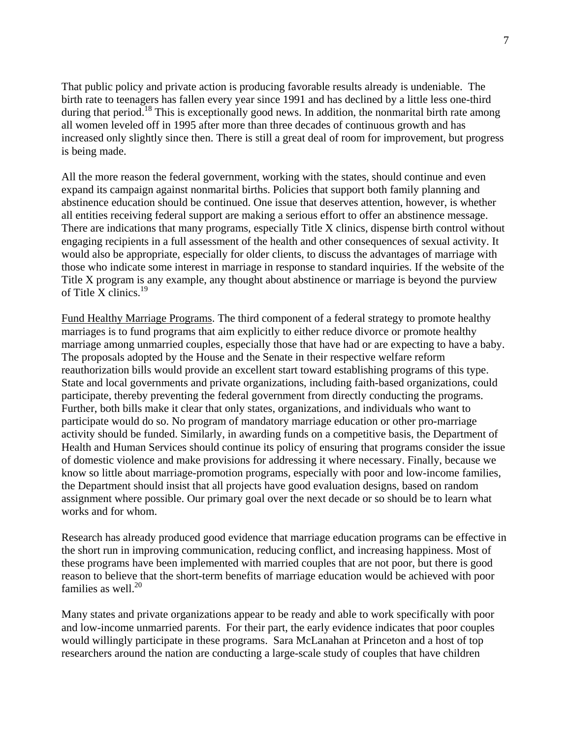That public policy and private action is producing favorable results already is undeniable. The birth rate to teenagers has fallen every year since 1991 and has declined by a little less one-third during that period.<sup>18</sup> This is exceptionally good news. In addition, the nonmarital birth rate among all women leveled off in 1995 after more than three decades of continuous growth and has increased only slightly since then. There is still a great deal of room for improvement, but progress is being made.

All the more reason the federal government, working with the states, should continue and even expand its campaign against nonmarital births. Policies that support both family planning and abstinence education should be continued. One issue that deserves attention, however, is whether all entities receiving federal support are making a serious effort to offer an abstinence message. There are indications that many programs, especially Title X clinics, dispense birth control without engaging recipients in a full assessment of the health and other consequences of sexual activity. It would also be appropriate, especially for older clients, to discuss the advantages of marriage with those who indicate some interest in marriage in response to standard inquiries. If the website of the Title X program is any example, any thought about abstinence or marriage is beyond the purview of Title X clinics. $19$ 

Fund Healthy Marriage Programs. The third component of a federal strategy to promote healthy marriages is to fund programs that aim explicitly to either reduce divorce or promote healthy marriage among unmarried couples, especially those that have had or are expecting to have a baby. The proposals adopted by the House and the Senate in their respective welfare reform reauthorization bills would provide an excellent start toward establishing programs of this type. State and local governments and private organizations, including faith-based organizations, could participate, thereby preventing the federal government from directly conducting the programs. Further, both bills make it clear that only states, organizations, and individuals who want to participate would do so. No program of mandatory marriage education or other pro-marriage activity should be funded. Similarly, in awarding funds on a competitive basis, the Department of Health and Human Services should continue its policy of ensuring that programs consider the issue of domestic violence and make provisions for addressing it where necessary. Finally, because we know so little about marriage-promotion programs, especially with poor and low-income families, the Department should insist that all projects have good evaluation designs, based on random assignment where possible. Our primary goal over the next decade or so should be to learn what works and for whom.

Research has already produced good evidence that marriage education programs can be effective in the short run in improving communication, reducing conflict, and increasing happiness. Most of these programs have been implemented with married couples that are not poor, but there is good reason to believe that the short-term benefits of marriage education would be achieved with poor families as well. $^{20}$ 

Many states and private organizations appear to be ready and able to work specifically with poor and low-income unmarried parents. For their part, the early evidence indicates that poor couples would willingly participate in these programs. Sara McLanahan at Princeton and a host of top researchers around the nation are conducting a large-scale study of couples that have children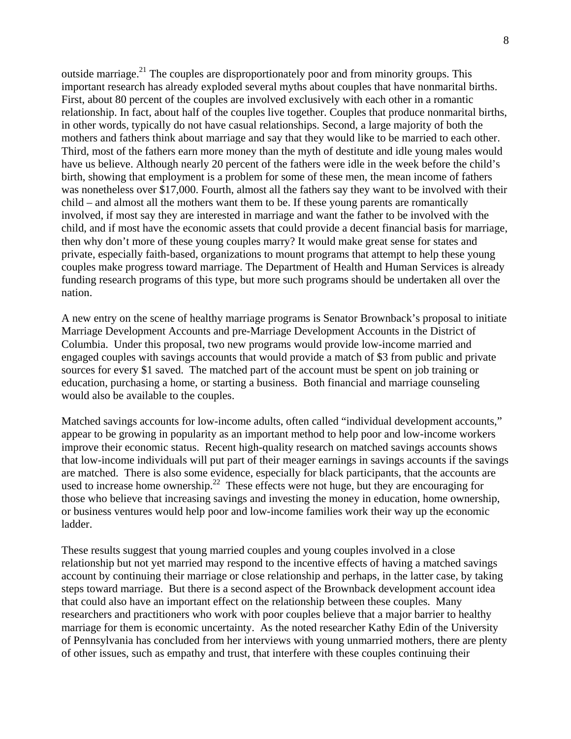outside marriage.<sup>21</sup> The couples are disproportionately poor and from minority groups. This important research has already exploded several myths about couples that have nonmarital births. First, about 80 percent of the couples are involved exclusively with each other in a romantic relationship. In fact, about half of the couples live together. Couples that produce nonmarital births, in other words, typically do not have casual relationships. Second, a large majority of both the mothers and fathers think about marriage and say that they would like to be married to each other. Third, most of the fathers earn more money than the myth of destitute and idle young males would have us believe. Although nearly 20 percent of the fathers were idle in the week before the child's birth, showing that employment is a problem for some of these men, the mean income of fathers was nonetheless over \$17,000. Fourth, almost all the fathers say they want to be involved with their child – and almost all the mothers want them to be. If these young parents are romantically involved, if most say they are interested in marriage and want the father to be involved with the child, and if most have the economic assets that could provide a decent financial basis for marriage, then why don't more of these young couples marry? It would make great sense for states and private, especially faith-based, organizations to mount programs that attempt to help these young couples make progress toward marriage. The Department of Health and Human Services is already funding research programs of this type, but more such programs should be undertaken all over the nation.

A new entry on the scene of healthy marriage programs is Senator Brownback's proposal to initiate Marriage Development Accounts and pre-Marriage Development Accounts in the District of Columbia. Under this proposal, two new programs would provide low-income married and engaged couples with savings accounts that would provide a match of \$3 from public and private sources for every \$1 saved. The matched part of the account must be spent on job training or education, purchasing a home, or starting a business. Both financial and marriage counseling would also be available to the couples.

Matched savings accounts for low-income adults, often called "individual development accounts," appear to be growing in popularity as an important method to help poor and low-income workers improve their economic status. Recent high-quality research on matched savings accounts shows that low-income individuals will put part of their meager earnings in savings accounts if the savings are matched. There is also some evidence, especially for black participants, that the accounts are used to increase home ownership.<sup>22</sup> These effects were not huge, but they are encouraging for those who believe that increasing savings and investing the money in education, home ownership, or business ventures would help poor and low-income families work their way up the economic ladder.

These results suggest that young married couples and young couples involved in a close relationship but not yet married may respond to the incentive effects of having a matched savings account by continuing their marriage or close relationship and perhaps, in the latter case, by taking steps toward marriage. But there is a second aspect of the Brownback development account idea that could also have an important effect on the relationship between these couples. Many researchers and practitioners who work with poor couples believe that a major barrier to healthy marriage for them is economic uncertainty. As the noted researcher Kathy Edin of the University of Pennsylvania has concluded from her interviews with young unmarried mothers, there are plenty of other issues, such as empathy and trust, that interfere with these couples continuing their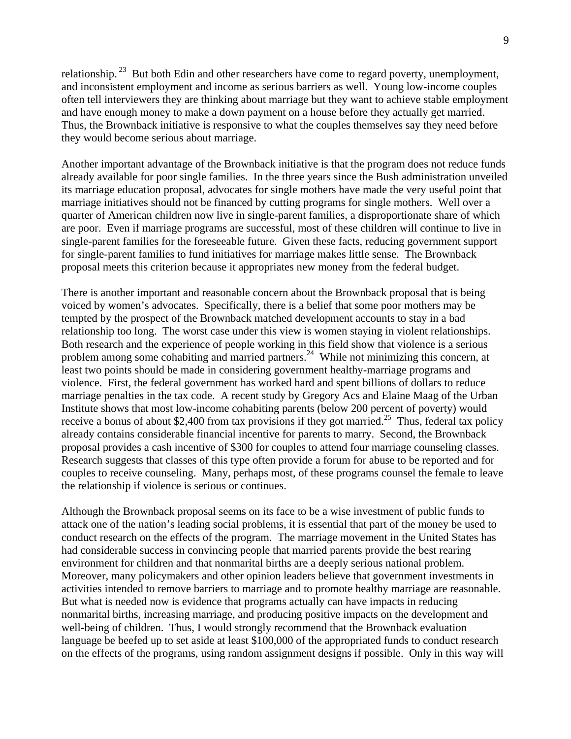relationship.<sup>23</sup> But both Edin and other researchers have come to regard poverty, unemployment, and inconsistent employment and income as serious barriers as well. Young low-income couples often tell interviewers they are thinking about marriage but they want to achieve stable employment and have enough money to make a down payment on a house before they actually get married. Thus, the Brownback initiative is responsive to what the couples themselves say they need before they would become serious about marriage.

Another important advantage of the Brownback initiative is that the program does not reduce funds already available for poor single families. In the three years since the Bush administration unveiled its marriage education proposal, advocates for single mothers have made the very useful point that marriage initiatives should not be financed by cutting programs for single mothers. Well over a quarter of American children now live in single-parent families, a disproportionate share of which are poor. Even if marriage programs are successful, most of these children will continue to live in single-parent families for the foreseeable future. Given these facts, reducing government support for single-parent families to fund initiatives for marriage makes little sense. The Brownback proposal meets this criterion because it appropriates new money from the federal budget.

There is another important and reasonable concern about the Brownback proposal that is being voiced by women's advocates. Specifically, there is a belief that some poor mothers may be tempted by the prospect of the Brownback matched development accounts to stay in a bad relationship too long. The worst case under this view is women staying in violent relationships. Both research and the experience of people working in this field show that violence is a serious problem among some cohabiting and married partners.<sup>24</sup> While not minimizing this concern, at least two points should be made in considering government healthy-marriage programs and violence. First, the federal government has worked hard and spent billions of dollars to reduce marriage penalties in the tax code. A recent study by Gregory Acs and Elaine Maag of the Urban Institute shows that most low-income cohabiting parents (below 200 percent of poverty) would receive a bonus of about \$2,400 from tax provisions if they got married.<sup>25</sup> Thus, federal tax policy already contains considerable financial incentive for parents to marry. Second, the Brownback proposal provides a cash incentive of \$300 for couples to attend four marriage counseling classes. Research suggests that classes of this type often provide a forum for abuse to be reported and for couples to receive counseling. Many, perhaps most, of these programs counsel the female to leave the relationship if violence is serious or continues.

Although the Brownback proposal seems on its face to be a wise investment of public funds to attack one of the nation's leading social problems, it is essential that part of the money be used to conduct research on the effects of the program. The marriage movement in the United States has had considerable success in convincing people that married parents provide the best rearing environment for children and that nonmarital births are a deeply serious national problem. Moreover, many policymakers and other opinion leaders believe that government investments in activities intended to remove barriers to marriage and to promote healthy marriage are reasonable. But what is needed now is evidence that programs actually can have impacts in reducing nonmarital births, increasing marriage, and producing positive impacts on the development and well-being of children. Thus, I would strongly recommend that the Brownback evaluation language be beefed up to set aside at least \$100,000 of the appropriated funds to conduct research on the effects of the programs, using random assignment designs if possible. Only in this way will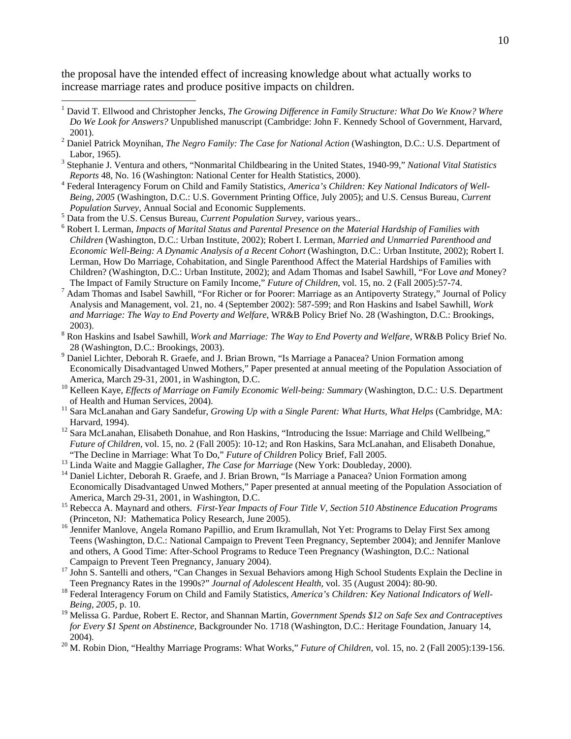the proposal have the intended effect of increasing knowledge about what actually works to increase marriage rates and produce positive impacts on children.

- Stephanie J. Ventura and others, "Nonmarital Childbearing in the United States, 1940-99," *National Vital Statistics Reports* 48, No. 16 (Washington: National Center for Health Statistics, 2000).
- <sup>4</sup> Federal Interagency Forum on Child and Family Statistics, *America's Children: Key National Indicators of Well-Being, 2005* (Washington, D.C.: U.S. Government Printing Office, July 2005); and U.S. Census Bureau, *Current Population Survey*, Annual Social and Economic Supplements.
- <sup>5</sup> Data from the U.S. Census Bureau, *Current Population Survey*, various years..

1

- Robert I. Lerman, *Impacts of Marital Status and Parental Presence on the Material Hardship of Families with Children* (Washington, D.C.: Urban Institute, 2002); Robert I. Lerman, *Married and Unmarried Parenthood and Economic Well-Being: A Dynamic Analysis of a Recent Cohort* (Washington, D.C.: Urban Institute, 2002); Robert I. Lerman, How Do Marriage, Cohabitation, and Single Parenthood Affect the Material Hardships of Families with Children? (Washington, D.C.: Urban Institute, 2002); and Adam Thomas and Isabel Sawhill, "For Love *and* Money? The Impact of Family Structure on Family Income," *Future of Children*, vol. 15, no. 2 (Fall 2005):57-74. 7
- <sup>7</sup> Adam Thomas and Isabel Sawhill, "For Richer or for Poorer: Marriage as an Antipoverty Strategy," Journal of Policy Analysis and Management, vol. 21, no. 4 (September 2002): 587-599; and Ron Haskins and Isabel Sawhill, *Work and Marriage: The Way to End Poverty and Welfare*, WR&B Policy Brief No. 28 (Washington, D.C.: Brookings,
- 2003). 8 Ron Haskins and Isabel Sawhill, *Work and Marriage: The Way to End Poverty and Welfare*, WR&B Policy Brief No. 28 (Washington, D.C.: Brookings, 2003).
- <sup>9</sup> Daniel Lichter, Deborah R. Graefe, and J. Brian Brown, "Is Marriage a Panacea? Union Formation among Economically Disadvantaged Unwed Mothers," Paper presented at annual meeting of the Population Association of
- <sup>10</sup> Kelleen Kaye, *Effects of Marriage on Family Economic Well-being: Summary* (Washington, D.C.: U.S. Department of Health and Human Services, 2004).
- <sup>11</sup> Sara McLanahan and Gary Sandefur, *Growing Up with a Single Parent: What Hurts, What Helps* (Cambridge, MA: Harvard, 1994).<br><sup>12</sup> Sara McLanahan, Elisabeth Donahue, and Ron Haskins, "Introducing the Issue: Marriage and Child Wellbeing,"
- *Future of Children*, vol. 15, no. 2 (Fall 2005): 10-12; and Ron Haskins, Sara McLanahan, and Elisabeth Donahue, "The Decline in Marriage: What To Do," *Future of Children Policy Brief*, Fall 2005.
- 
- <sup>13</sup> Linda Waite and Maggie Gallagher, *The Case for Marriage* (New York: Doubleday, 2000).<br><sup>14</sup> Daniel Lichter, Deborah R. Graefe, and J. Brian Brown, "Is Marriage a Panacea? Union Formation among Economically Disadvantaged Unwed Mothers," Paper presented at annual meeting of the Population Association of
- America, March 29-31, 2001, in Washington, D.C.<br><sup>15</sup> Rebecca A. Maynard and others. *First-Year Impacts of Four Title V, Section 510 Abstinence Education Programs*<br>(Princeton, NJ: Mathematica Policy Research, June 2005).
- <sup>16</sup> Jennifer Manlove, Angela Romano Papillio, and Erum Ikramullah, Not Yet: Programs to Delay First Sex among Teens (Washington, D.C.: National Campaign to Prevent Teen Pregnancy, September 2004); and Jennifer Manlove and others, A Good Time: After-School Programs to Reduce Teen Pregnancy (Washington, D.C.: National
- Campaign to Prevent Teen Pregnancy, January 2004).<br><sup>17</sup> John S. Santelli and others, "Can Changes in Sexual Behaviors among High School Students Explain the Decline in<br>Teen Pregnancy Rates in the 1990s?" *Journal of Adoles*
- <sup>18</sup> Federal Interagency Forum on Child and Family Statistics, *America's Children: Key National Indicators of Well-Being, 2005*, p. 10.
- 19 Melissa G. Pardue, Robert E. Rector, and Shannan Martin, *Government Spends \$12 on Safe Sex and Contraceptives for Every \$1 Spent on Abstinence*, Backgrounder No. 1718 (Washington, D.C.: Heritage Foundation, January 14, 2004). 20 M. Robin Dion, "Healthy Marriage Programs: What Works," *Future of Children*, vol. 15, no. 2 (Fall 2005):139-156.
- 

<sup>&</sup>lt;sup>1</sup> David T. Ellwood and Christopher Jencks, *The Growing Difference in Family Structure: What Do We Know? Where Do We Look for Answers?* Unpublished manuscript (Cambridge: John F. Kennedy School of Government, Harvard, 2001). 2 Daniel Patrick Moynihan, *The Negro Family: The Case for National Action* (Washington, D.C.: U.S. Department of

Labor, 1965).